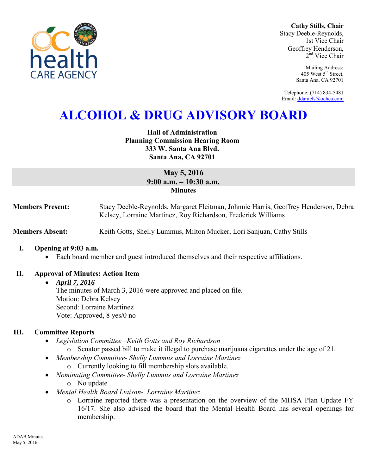

**Cathy Stills, Chair** Stacy Deeble-Reynolds, 1st Vice Chair Geoffrey Henderson, 2<sup>nd</sup> Vice Chair

> Mailing Address: 405 West 5<sup>th</sup> Street, Santa Ana, CA 92701

Telephone: (714) 834-5481 Email[: ddaniels@ochca.com](mailto:ddaniels@ochca.com)

# **ALCOHOL & DRUG ADVISORY BOARD**

## **Hall of Administration Planning Commission Hearing Room 333 W. Santa Ana Blvd. Santa Ana, CA 92701**

## **May 5, 2016 9:00 a.m. – 10:30 a.m. Minutes**

**Members Present:** Stacy Deeble-Reynolds, Margaret Fleitman, Johnnie Harris, Geoffrey Henderson, Debra Kelsey, Lorraine Martinez, Roy Richardson, Frederick Williams

**Members Absent: Keith Gotts, Shelly Lummus, Milton Mucker, Lori Sanjuan, Cathy Stills** 

### **I. Opening at 9:03 a.m.**

Each board member and guest introduced themselves and their respective affiliations.

### **II. Approval of Minutes: Action Item**

#### *April 7, 2016*

The minutes of March 3, 2016 were approved and placed on file. Motion: Debra Kelsey Second: Lorraine Martinez Vote: Approved, 8 yes/0 no

## **III. Committee Reports**

- *Legislation Committee –Keith Gotts and Roy Richardson* 
	- o Senator passed bill to make it illegal to purchase marijuana cigarettes under the age of 21.
- *Membership Committee- Shelly Lummus and Lorraine Martinez* 
	- o Currently looking to fill membership slots available.
- *Nominating Committee- Shelly Lummus and Lorraine Martinez*  o No update
- *Mental Health Board Liaison- Lorraine Martinez* 
	- o Lorraine reported there was a presentation on the overview of the MHSA Plan Update FY 16/17. She also advised the board that the Mental Health Board has several openings for membership.

ADAB Minutes May 5, 2016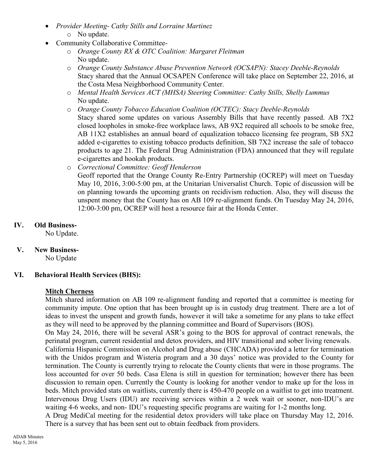- *Provider Meeting- Cathy Stills and Lorraine Martinez*  o No update.
- Community Collaborative Committee
	- o *Orange County RX & OTC Coalition: Margaret Fleitman*  No update.
	- o *Orange County Substance Abuse Prevention Network (OCSAPN): Stacey Deeble-Reynolds*  Stacy shared that the Annual OCSAPEN Conference will take place on September 22, 2016, at the Costa Mesa Neighborhood Community Center.
	- o *Mental Health Services ACT (MHSA) Steering Committee: Cathy Stills, Shelly Lummus*  No update.
	- o *Orange County Tobacco Education Coalition (OCTEC): Stacy Deeble-Reynolds*  Stacy shared some updates on various Assembly Bills that have recently passed. AB 7X2 closed loopholes in smoke-free workplace laws, AB 9X2 required all schools to be smoke free, AB 11X2 establishes an annual board of equalization tobacco licensing fee program, SB 5X2 added e-cigarettes to existing tobacco products definition, SB 7X2 increase the sale of tobacco products to age 21. The Federal Drug Administration (FDA) announced that they will regulate e-cigarettes and hookah products.
	- o *Correctional Committee: Geoff Henderson*  Geoff reported that the Orange County Re-Entry Partnership (OCREP) will meet on Tuesday May 10, 2016, 3:00-5:00 pm, at the Unitarian Universalist Church. Topic of discussion will be on planning towards the upcoming grants on recidivism reduction. Also, they will discuss the unspent money that the County has on AB 109 re-alignment funds. On Tuesday May 24, 2016, 12:00-3:00 pm, OCREP will host a resource fair at the Honda Center.

## **IV. Old Business-**

No Update.

**V. New Business-**

No Update

## **VI. Behavioral Health Services (BHS):**

## **Mitch Cherness**

Mitch shared information on AB 109 re-alignment funding and reported that a committee is meeting for community impute. One option that has been brought up is in custody drug treatment. There are a lot of ideas to invest the unspent and growth funds, however it will take a sometime for any plans to take effect as they will need to be approved by the planning committee and Board of Supervisors (BOS).

On May 24, 2016, there will be several ASR's going to the BOS for approval of contract renewals, the perinatal program, current residential and detox providers, and HIV transitional and sober living renewals.

California Hispanic Commission on Alcohol and Drug abuse (CHCADA) provided a letter for termination with the Unidos program and Wisteria program and a 30 days' notice was provided to the County for termination. The County is currently trying to relocate the County clients that were in those programs. The loss accounted for over 50 beds. Casa Elena is still in question for termination; however there has been discussion to remain open. Currently the County is looking for another vendor to make up for the loss in beds. Mitch provided stats on waitlists, currently there is 450-470 people on a waitlist to get into treatment. Intervenous Drug Users (IDU) are receiving services within a 2 week wait or sooner, non-IDU's are waiting 4-6 weeks, and non- IDU's requesting specific programs are waiting for 1-2 months long.

A Drug MediCal meeting for the residential detox providers will take place on Thursday May 12, 2016. There is a survey that has been sent out to obtain feedback from providers.